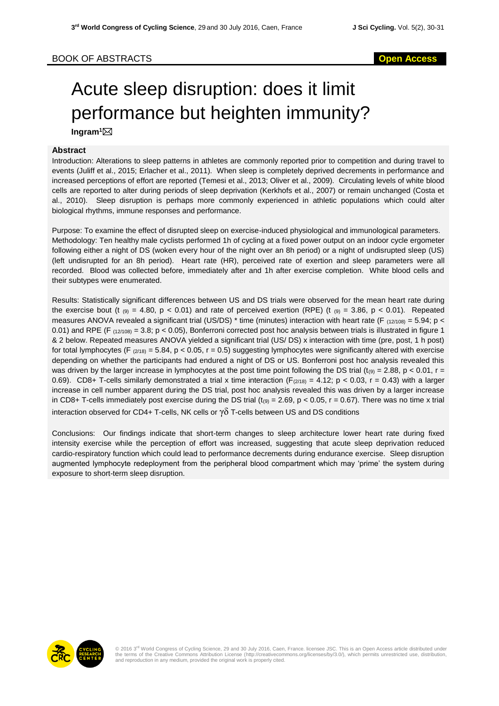## BOOK OF ABSTRACTS **Open Access**

## Acute sleep disruption: does it limit performance but heighten immunity?

**Ingram<sup>1</sup>**

## **Abstract**

Introduction: Alterations to sleep patterns in athletes are commonly reported prior to competition and during travel to events (Juliff et al., 2015; Erlacher et al., 2011). When sleep is completely deprived decrements in performance and increased perceptions of effort are reported (Temesi et al., 2013; Oliver et al., 2009). Circulating levels of white blood cells are reported to alter during periods of sleep deprivation (Kerkhofs et al., 2007) or remain unchanged (Costa et al., 2010). Sleep disruption is perhaps more commonly experienced in athletic populations which could alter biological rhythms, immune responses and performance.

Purpose: To examine the effect of disrupted sleep on exercise-induced physiological and immunological parameters. Methodology: Ten healthy male cyclists performed 1h of cycling at a fixed power output on an indoor cycle ergometer following either a night of DS (woken every hour of the night over an 8h period) or a night of undisrupted sleep (US) (left undisrupted for an 8h period). Heart rate (HR), perceived rate of exertion and sleep parameters were all recorded. Blood was collected before, immediately after and 1h after exercise completion. White blood cells and their subtypes were enumerated.

Results: Statistically significant differences between US and DS trials were observed for the mean heart rate during the exercise bout (t  $_{(9)} = 4.80$ , p < 0.01) and rate of perceived exertion (RPE) (t  $_{(9)} = 3.86$ , p < 0.01). Repeated measures ANOVA revealed a significant trial (US/DS) \* time (minutes) interaction with heart rate (F  $_{(12/108)} = 5.94$ ; p < 0.01) and RPE (F  $_{(12/108)}$  = 3.8; p < 0.05), Bonferroni corrected post hoc analysis between trials is illustrated in figure 1 & 2 below. Repeated measures ANOVA yielded a significant trial (US/ DS) x interaction with time (pre, post, 1 h post) for total lymphocytes (F  $_{(2/18)} = 5.84$ , p < 0.05, r = 0.5) suggesting lymphocytes were significantly altered with exercise depending on whether the participants had endured a night of DS or US. Bonferroni post hoc analysis revealed this was driven by the larger increase in lymphocytes at the post time point following the DS trial (t<sub>(9)</sub> = 2.88, p < 0.01, r = 0.69). CD8+ T-cells similarly demonstrated a trial x time interaction ( $F_{(2/18)} = 4.12$ ; p < 0.03, r = 0.43) with a larger increase in cell number apparent during the DS trial, post hoc analysis revealed this was driven by a larger increase in CD8+ T-cells immediately post exercise during the DS trial  $(t_{(9)} = 2.69, p < 0.05, r = 0.67)$ . There was no time x trial interaction observed for CD4+ T-cells, NK cells or  $\gamma\delta$  T-cells between US and DS conditions

Conclusions: Our findings indicate that short-term changes to sleep architecture lower heart rate during fixed intensity exercise while the perception of effort was increased, suggesting that acute sleep deprivation reduced cardio-respiratory function which could lead to performance decrements during endurance exercise. Sleep disruption augmented lymphocyte redeployment from the peripheral blood compartment which may 'prime' the system during exposure to short-term sleep disruption.